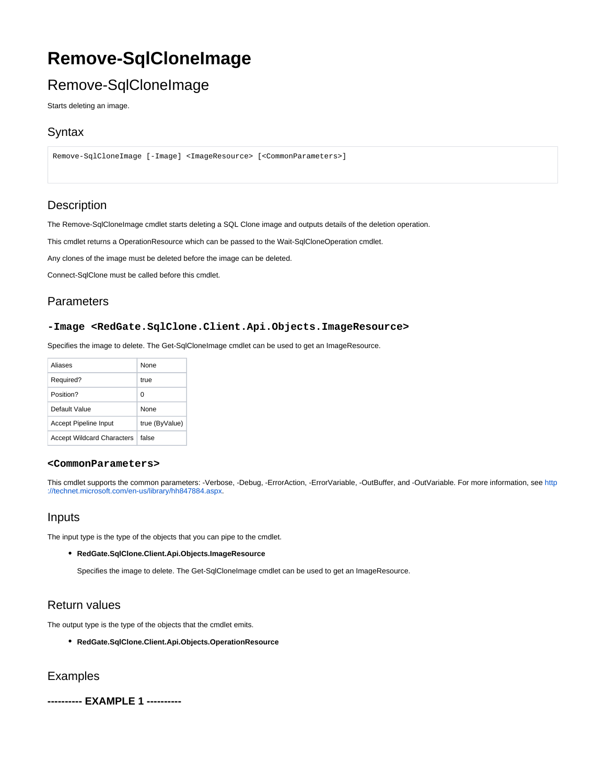# **Remove-SqlCloneImage**

## Remove-SqlCloneImage

Starts deleting an image.

## **Syntax**

Remove-SqlCloneImage [-Image] <ImageResource> [<CommonParameters>]

## **Description**

The Remove-SqlCloneImage cmdlet starts deleting a SQL Clone image and outputs details of the deletion operation.

This cmdlet returns a OperationResource which can be passed to the Wait-SqlCloneOperation cmdlet.

Any clones of the image must be deleted before the image can be deleted.

Connect-SqlClone must be called before this cmdlet.

## Parameters

#### **-Image <RedGate.SqlClone.Client.Api.Objects.ImageResource>**

Specifies the image to delete. The Get-SqlCloneImage cmdlet can be used to get an ImageResource.

| Aliases                           | <b>None</b>    |
|-----------------------------------|----------------|
| Required?                         | true           |
| Position?                         | O              |
| Default Value                     | <b>None</b>    |
| Accept Pipeline Input             | true (ByValue) |
| <b>Accept Wildcard Characters</b> | false          |

#### **<CommonParameters>**

This cmdlet supports the common parameters: -Verbose, -Debug, -ErrorAction, -ErrorVariable, -OutBuffer, and -OutVariable. For more information, see [http](http://technet.microsoft.com/en-us/library/hh847884.aspx) [://technet.microsoft.com/en-us/library/hh847884.aspx](http://technet.microsoft.com/en-us/library/hh847884.aspx).

### Inputs

The input type is the type of the objects that you can pipe to the cmdlet.

#### **RedGate.SqlClone.Client.Api.Objects.ImageResource**

Specifies the image to delete. The Get-SqlCloneImage cmdlet can be used to get an ImageResource.

## Return values

The output type is the type of the objects that the cmdlet emits.

**RedGate.SqlClone.Client.Api.Objects.OperationResource**

## Examples

**---------- EXAMPLE 1 ----------**